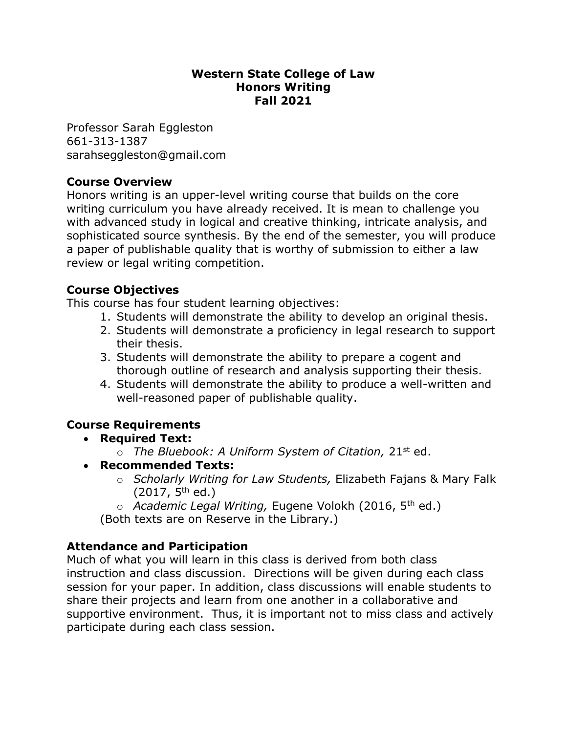## **Western State College of Law Honors Writing Fall 2021**

Professor Sarah Eggleston 661-313-1387 sarahseggleston@gmail.com

# **Course Overview**

Honors writing is an upper-level writing course that builds on the core writing curriculum you have already received. It is mean to challenge you with advanced study in logical and creative thinking, intricate analysis, and sophisticated source synthesis. By the end of the semester, you will produce a paper of publishable quality that is worthy of submission to either a law review or legal writing competition.

# **Course Objectives**

This course has four student learning objectives:

- 1. Students will demonstrate the ability to develop an original thesis.
- 2. Students will demonstrate a proficiency in legal research to support their thesis.
- 3. Students will demonstrate the ability to prepare a cogent and thorough outline of research and analysis supporting their thesis.
- 4. Students will demonstrate the ability to produce a well-written and well-reasoned paper of publishable quality.

# **Course Requirements**

- **Required Text:** 
	- o *The Bluebook: A Uniform System of Citation,* 21st ed.
- **Recommended Texts:** 
	- o *Scholarly Writing for Law Students,* Elizabeth Fajans & Mary Falk  $(2017, 5^{th}$  ed.)
	- o *Academic Legal Writing,* Eugene Volokh (2016, 5th ed.)

(Both texts are on Reserve in the Library.)

# **Attendance and Participation**

Much of what you will learn in this class is derived from both class instruction and class discussion. Directions will be given during each class session for your paper. In addition, class discussions will enable students to share their projects and learn from one another in a collaborative and supportive environment. Thus, it is important not to miss class and actively participate during each class session.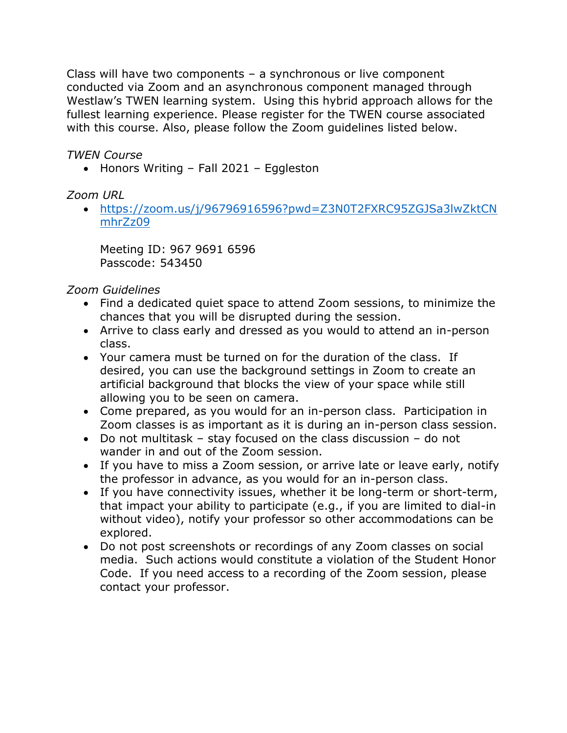Class will have two components – a synchronous or live component conducted via Zoom and an asynchronous component managed through Westlaw's TWEN learning system. Using this hybrid approach allows for the fullest learning experience. Please register for the TWEN course associated with this course. Also, please follow the Zoom guidelines listed below.

*TWEN Course*

• Honors Writing – Fall 2021 – Eggleston

# *Zoom URL*

 [https://zoom.us/j/96796916596?pwd=Z3N0T2FXRC95ZGJSa3lwZktCN](https://zoom.us/j/96796916596?pwd=Z3N0T2FXRC95ZGJSa3lwZktCNmhrZz09) [mhrZz09](https://zoom.us/j/96796916596?pwd=Z3N0T2FXRC95ZGJSa3lwZktCNmhrZz09)

Meeting ID: 967 9691 6596 Passcode: 543450

*Zoom Guidelines*

- Find a dedicated quiet space to attend Zoom sessions, to minimize the chances that you will be disrupted during the session.
- Arrive to class early and dressed as you would to attend an in-person class.
- Your camera must be turned on for the duration of the class. If desired, you can use the background settings in Zoom to create an artificial background that blocks the view of your space while still allowing you to be seen on camera.
- Come prepared, as you would for an in-person class. Participation in Zoom classes is as important as it is during an in-person class session.
- Do not multitask stay focused on the class discussion do not wander in and out of the Zoom session.
- If you have to miss a Zoom session, or arrive late or leave early, notify the professor in advance, as you would for an in-person class.
- If you have connectivity issues, whether it be long-term or short-term, that impact your ability to participate (e.g., if you are limited to dial-in without video), notify your professor so other accommodations can be explored.
- Do not post screenshots or recordings of any Zoom classes on social media. Such actions would constitute a violation of the Student Honor Code. If you need access to a recording of the Zoom session, please contact your professor.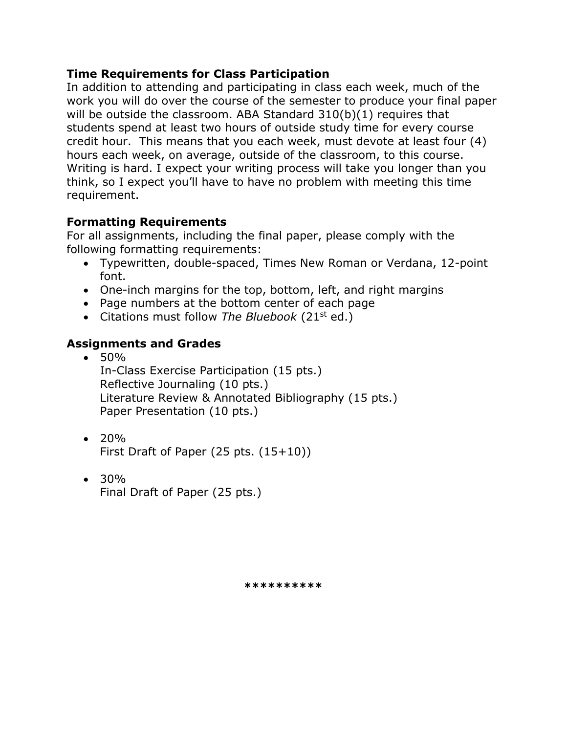## **Time Requirements for Class Participation**

In addition to attending and participating in class each week, much of the work you will do over the course of the semester to produce your final paper will be outside the classroom. ABA Standard 310(b)(1) requires that students spend at least two hours of outside study time for every course credit hour. This means that you each week, must devote at least four (4) hours each week, on average, outside of the classroom, to this course. Writing is hard. I expect your writing process will take you longer than you think, so I expect you'll have to have no problem with meeting this time requirement.

# **Formatting Requirements**

For all assignments, including the final paper, please comply with the following formatting requirements:

- Typewritten, double-spaced, Times New Roman or Verdana, 12-point font.
- One-inch margins for the top, bottom, left, and right margins
- Page numbers at the bottom center of each page
- Citations must follow The Bluebook (21st ed.)

# **Assignments and Grades**

 $• 50%$ 

In-Class Exercise Participation (15 pts.) Reflective Journaling (10 pts.) Literature Review & Annotated Bibliography (15 pts.) Paper Presentation (10 pts.)

 $\cdot$  20%

First Draft of Paper (25 pts. (15+10))

 30% Final Draft of Paper (25 pts.)

**\*\*\*\*\*\*\*\*\*\***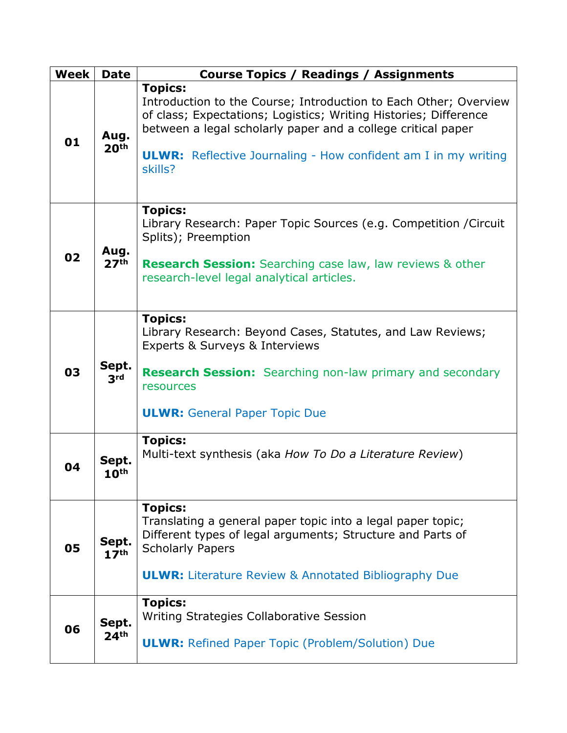| Week | <b>Date</b>               | <b>Course Topics / Readings / Assignments</b>                                                                                                                                                                                                                                                              |
|------|---------------------------|------------------------------------------------------------------------------------------------------------------------------------------------------------------------------------------------------------------------------------------------------------------------------------------------------------|
| 01   | Aug.<br>20 <sup>th</sup>  | <b>Topics:</b><br>Introduction to the Course; Introduction to Each Other; Overview<br>of class; Expectations; Logistics; Writing Histories; Difference<br>between a legal scholarly paper and a college critical paper<br><b>ULWR:</b> Reflective Journaling - How confident am I in my writing<br>skills? |
| 02   | Aug.<br>27 <sup>th</sup>  | <b>Topics:</b><br>Library Research: Paper Topic Sources (e.g. Competition / Circuit<br>Splits); Preemption<br><b>Research Session:</b> Searching case law, law reviews & other<br>research-level legal analytical articles.                                                                                |
| 03   | Sept.<br>3 <sup>rd</sup>  | <b>Topics:</b><br>Library Research: Beyond Cases, Statutes, and Law Reviews;<br>Experts & Surveys & Interviews<br><b>Research Session:</b> Searching non-law primary and secondary<br>resources<br><b>ULWR:</b> General Paper Topic Due                                                                    |
| 04   | Sept.<br>10 <sup>th</sup> | <b>Topics:</b><br>Multi-text synthesis (aka How To Do a Literature Review)                                                                                                                                                                                                                                 |
| 05   | Sept.<br>17 <sup>th</sup> | <b>Topics:</b><br>Translating a general paper topic into a legal paper topic;<br>Different types of legal arguments; Structure and Parts of<br><b>Scholarly Papers</b><br><b>ULWR:</b> Literature Review & Annotated Bibliography Due                                                                      |
| 06   | Sept.<br>24 <sup>th</sup> | <b>Topics:</b><br>Writing Strategies Collaborative Session<br><b>ULWR: Refined Paper Topic (Problem/Solution) Due</b>                                                                                                                                                                                      |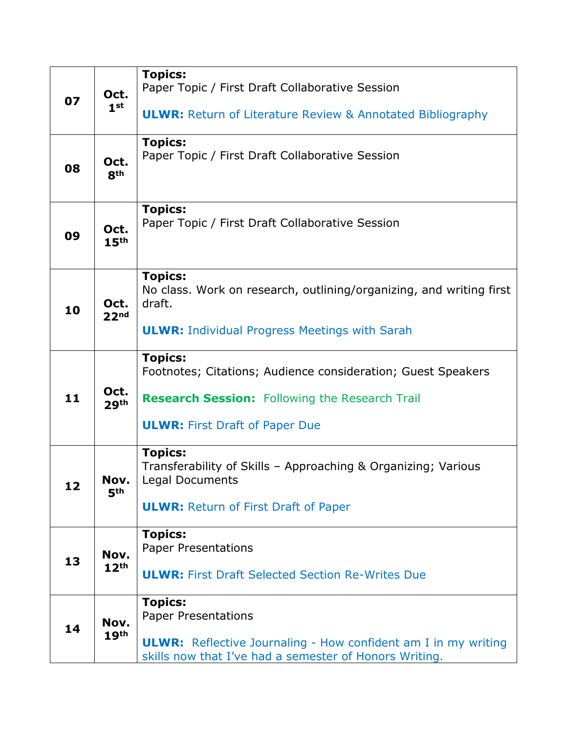| 07 | Oct.<br>1 <sup>st</sup>  | <b>Topics:</b><br>Paper Topic / First Draft Collaborative Session                                                                                                                |
|----|--------------------------|----------------------------------------------------------------------------------------------------------------------------------------------------------------------------------|
|    |                          | <b>ULWR:</b> Return of Literature Review & Annotated Bibliography                                                                                                                |
| 08 | Oct.<br>8 <sup>th</sup>  | <b>Topics:</b><br>Paper Topic / First Draft Collaborative Session                                                                                                                |
| 09 | Oct.<br>15 <sup>th</sup> | <b>Topics:</b><br>Paper Topic / First Draft Collaborative Session                                                                                                                |
| 10 | Oct.<br>22 <sup>nd</sup> | <b>Topics:</b><br>No class. Work on research, outlining/organizing, and writing first<br>draft.<br><b>ULWR: Individual Progress Meetings with Sarah</b>                          |
| 11 | Oct.<br>29 <sup>th</sup> | <b>Topics:</b><br>Footnotes; Citations; Audience consideration; Guest Speakers<br><b>Research Session:</b> Following the Research Trail<br><b>ULWR: First Draft of Paper Due</b> |
| 12 | Nov.<br>5 <sup>th</sup>  | <b>Topics:</b><br>Transferability of Skills - Approaching & Organizing; Various<br>Legal Documents<br><b>ULWR: Return of First Draft of Paper</b>                                |
| 13 | Nov.<br>12 <sup>th</sup> | <b>Topics:</b><br><b>Paper Presentations</b><br><b>ULWR:</b> First Draft Selected Section Re-Writes Due                                                                          |
| 14 | Nov.<br>19 <sup>th</sup> | <b>Topics:</b><br><b>Paper Presentations</b><br><b>ULWR:</b> Reflective Journaling - How confident am I in my writing<br>skills now that I've had a semester of Honors Writing.  |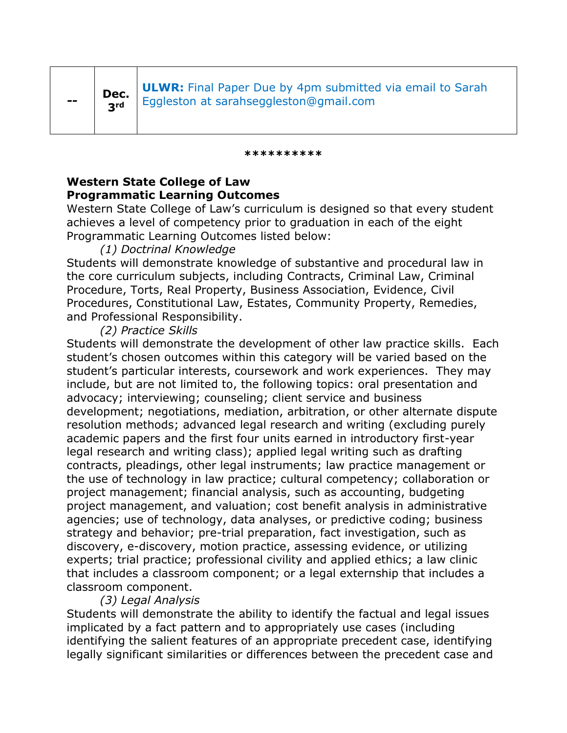**ULWR:** Final Paper Due by 4pm submitted via email to Sarah Eggleston at sarahseggleston@gmail.com

#### **\*\*\*\*\*\*\*\*\*\***

## **Western State College of Law Programmatic Learning Outcomes**

Western State College of Law's curriculum is designed so that every student achieves a level of competency prior to graduation in each of the eight Programmatic Learning Outcomes listed below:

## *(1) Doctrinal Knowledge*

Students will demonstrate knowledge of substantive and procedural law in the core curriculum subjects, including Contracts, Criminal Law, Criminal Procedure, Torts, Real Property, Business Association, Evidence, Civil Procedures, Constitutional Law, Estates, Community Property, Remedies, and Professional Responsibility.

## *(2) Practice Skills*

Students will demonstrate the development of other law practice skills. Each student's chosen outcomes within this category will be varied based on the student's particular interests, coursework and work experiences. They may include, but are not limited to, the following topics: oral presentation and advocacy; interviewing; counseling; client service and business development; negotiations, mediation, arbitration, or other alternate dispute resolution methods; advanced legal research and writing (excluding purely academic papers and the first four units earned in introductory first-year legal research and writing class); applied legal writing such as drafting contracts, pleadings, other legal instruments; law practice management or the use of technology in law practice; cultural competency; collaboration or project management; financial analysis, such as accounting, budgeting project management, and valuation; cost benefit analysis in administrative agencies; use of technology, data analyses, or predictive coding; business strategy and behavior; pre-trial preparation, fact investigation, such as discovery, e-discovery, motion practice, assessing evidence, or utilizing experts; trial practice; professional civility and applied ethics; a law clinic that includes a classroom component; or a legal externship that includes a classroom component.

### *(3) Legal Analysis*

Students will demonstrate the ability to identify the factual and legal issues implicated by a fact pattern and to appropriately use cases (including identifying the salient features of an appropriate precedent case, identifying legally significant similarities or differences between the precedent case and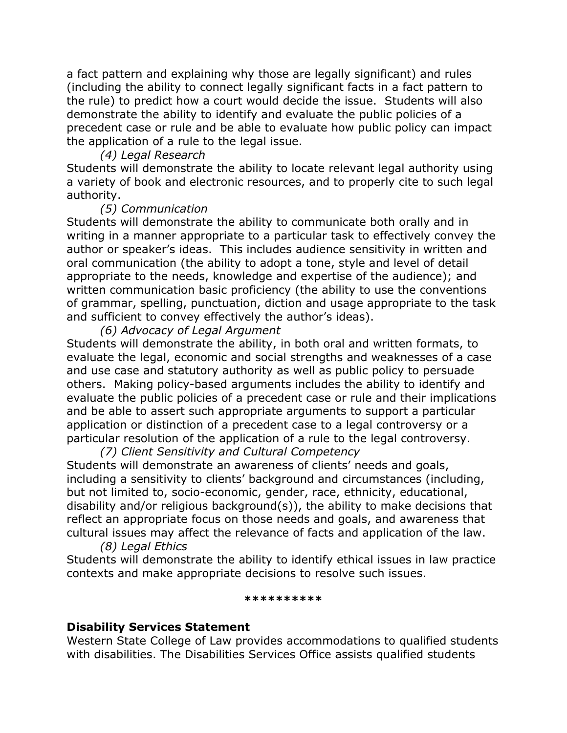a fact pattern and explaining why those are legally significant) and rules (including the ability to connect legally significant facts in a fact pattern to the rule) to predict how a court would decide the issue. Students will also demonstrate the ability to identify and evaluate the public policies of a precedent case or rule and be able to evaluate how public policy can impact the application of a rule to the legal issue.

#### *(4) Legal Research*

Students will demonstrate the ability to locate relevant legal authority using a variety of book and electronic resources, and to properly cite to such legal authority.

### *(5) Communication*

Students will demonstrate the ability to communicate both orally and in writing in a manner appropriate to a particular task to effectively convey the author or speaker's ideas. This includes audience sensitivity in written and oral communication (the ability to adopt a tone, style and level of detail appropriate to the needs, knowledge and expertise of the audience); and written communication basic proficiency (the ability to use the conventions of grammar, spelling, punctuation, diction and usage appropriate to the task and sufficient to convey effectively the author's ideas).

### *(6) Advocacy of Legal Argument*

Students will demonstrate the ability, in both oral and written formats, to evaluate the legal, economic and social strengths and weaknesses of a case and use case and statutory authority as well as public policy to persuade others. Making policy-based arguments includes the ability to identify and evaluate the public policies of a precedent case or rule and their implications and be able to assert such appropriate arguments to support a particular application or distinction of a precedent case to a legal controversy or a particular resolution of the application of a rule to the legal controversy.

*(7) Client Sensitivity and Cultural Competency* Students will demonstrate an awareness of clients' needs and goals, including a sensitivity to clients' background and circumstances (including, but not limited to, socio-economic, gender, race, ethnicity, educational, disability and/or religious background(s)), the ability to make decisions that reflect an appropriate focus on those needs and goals, and awareness that cultural issues may affect the relevance of facts and application of the law.

*(8) Legal Ethics*

Students will demonstrate the ability to identify ethical issues in law practice contexts and make appropriate decisions to resolve such issues.

#### **\*\*\*\*\*\*\*\*\*\***

#### **Disability Services Statement**

Western State College of Law provides accommodations to qualified students with disabilities. The Disabilities Services Office assists qualified students